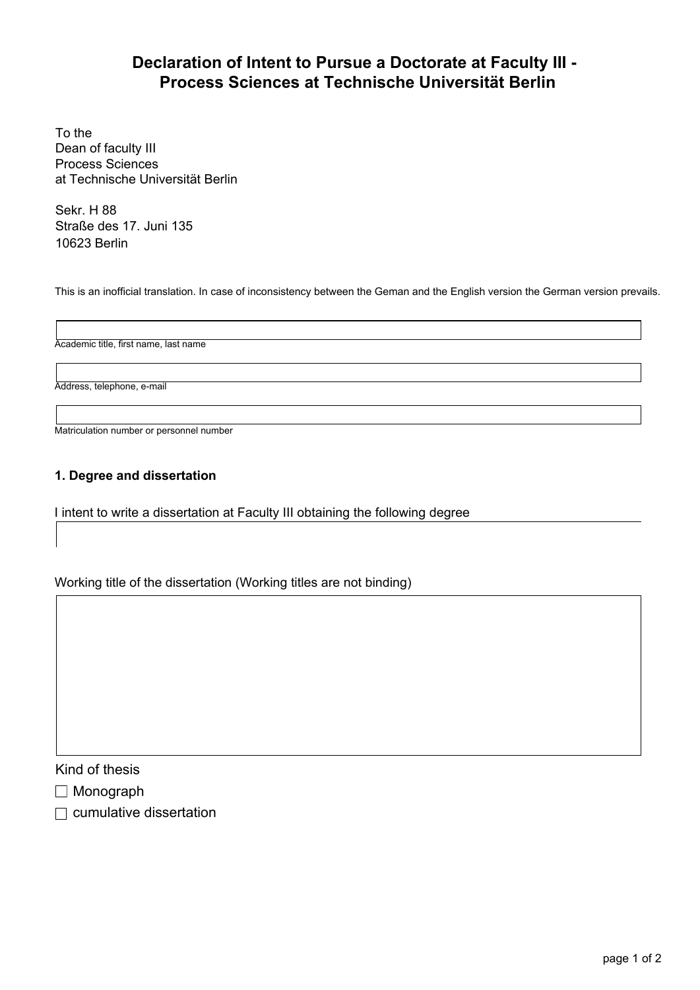# Declaration of Intent to Pursue a Doctorate at Faculty III - Process Sciences at Technische Universität Berlin

To the Dean of faculty III Process Sciences at Technische Universität Berlin

Sekr. H 88 Straße des 17. Juni 135 10623 Berlin

This is an inofficial translation. In case of inconsistency between the Geman and the English version the German version prevails.

Academic title, first name, last name

Address, telephone, e-mail

Matriculation number or personnel number

## 1. Degree and dissertation

I intent to write a dissertation at Faculty III obtaining the following degree

Working title of the dissertation (Working titles are not binding)

Kind of thesis

- Monograph
- $\Box$  cumulative dissertation